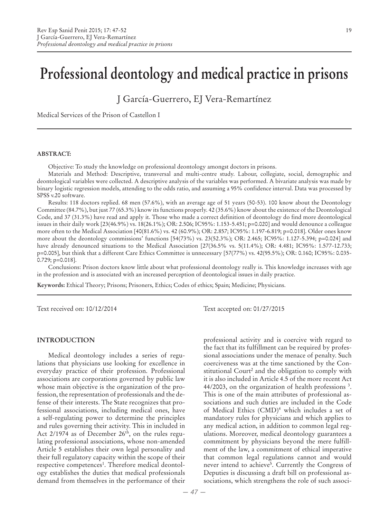# **Professional deontology and medical practice in prisons**

J García-Guerrero, EJ Vera-Remartínez

Medical Services of the Prison of Castellon I

#### **Abstract:**

Objective: To study the knowledge on professional deontology amongst doctors in prisons.

Materials and Method: Descriptive, transversal and multi-centre study. Labour, collegiate, social, demographic and deontological variables were collected. A descriptive analysis of the variables was performed. A bivariate analysis was made by binary logistic regression models, attending to the odds ratio, and assuming a 95% confidence interval. Data was processed by SPSS v.20 software.

Results: 118 doctors replied. 68 men (57.6%), with an average age of 51 years (50-53). 100 know about the Deontology Committee (84.7%), but just 77 (65.3%) know its functions properly. 42 (35.6%) know about the existence of the Deontological Code, and 37 (31.3%) have read and apply it. Those who made a correct definition of deontology do find more deontological issues in their daily work [23(46.9%) vs. 18(26.1%); OR: 2.506; IC95%: 1.153-5.451; p=0.020] and would denounce a colleague more often to the Medical Association [40(81.6%) vs. 42 (60.9%); OR: 2.857; IC95%: 1.197-6.819; p=0.018]. Older ones know more about the deontology commissions' functions [54(73%) vs. 23(52.3%); OR: 2.465; IC95%: 1.127-5.394; p=0.024] and have already denounced situations to the Medical Association [27(36.5% vs. 5(11.4%); OR: 4.481; IC95%: 1.577-12.733; p=0.005], but think that a different Care Ethics Committee is unnecessary [57(77%) vs. 42(95.5%); OR: 0.160; IC95%: 0.035- 0.729; p=0.018].

Conclusions: Prison doctors know little about what professional deontology really is. This knowledge increases with age in the profession and is associated with an increased perception of deontological issues in daily practice.

**Keywords:** Ethical Theory; Prisons; Prisoners, Ethics; Codes of ethics; Spain; Medicine; Physicians.

Text received on: 10/12/2014 Text accepted on: 01/27/2015

#### **INTRODUCTION**

Medical deontology includes a series of regulations that physicians use looking for excellence in everyday practice of their profession. Professional associations are corporations governed by public law whose main objective is the organization of the profession, the representation of professionals and the defense of their interests. The State recognizes that professional associations, including medical ones, have a self-regulating power to determine the principles and rules governing their activity. This in included in Act 2/1974 as of December 26<sup>th</sup>, on the rules regulating professional associations, whose non-amended Article 5 establishes their own legal personality and their full regulatory capacity within the scope of their respective competences<sup>1</sup>. Therefore medical deontology establishes the duties that medical professionals demand from themselves in the performance of their

*— 47 —*

professional activity and is coercive with regard to the fact that its fulfillment can be required by professional associations under the menace of penalty. Such coerciveness was at the time sanctioned by the Constitutional Court<sup>2</sup> and the obligation to comply with it is also included in Article 4.5 of the more recent Act 44/2003, on the organization of health professions 3 . This is one of the main attributes of professional associations and such duties are included in the Code of Medical Ethics (CMD)<sup>4</sup> which includes a set of mandatory rules for physicians and which applies to any medical action, in addition to common legal regulations. Moreover, medical deontology guarantees a commitment by physicians beyond the mere fulfillment of the law, a commitment of ethical imperative that common legal regulations cannot and would never intend to achieve<sup>5</sup>. Currently the Congress of Deputies is discussing a draft bill on professional associations, which strengthens the role of such associ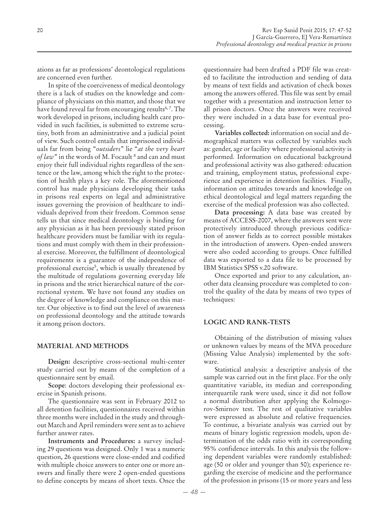ations as far as professions' deontological regulations are concerned even further.

In spite of the coerciveness of medical deontology there is a lack of studies on the knowledge and compliance of physicians on this matter, and those that we have found reveal far from encouraging results<sup>6,7</sup>. The work developed in prisons, including health care provided in such facilities, is submitted to extreme scrutiny, both from an administrative and a judicial point of view. Such control entails that imprisoned individuals far from being "*outsiders*" lie "*at the very heart*  of law" in the words of M. Focault <sup>8</sup> and can and must enjoy their full individual rights regardless of the sentence or the law, among which the right to the protection of health plays a key role. The aforementioned control has made physicians developing their tasks in prisons real experts on legal and administrative issues governing the provision of healthcare to individuals deprived from their freedom. Common sense tells us that since medical deontology is binding for any physician as it has been previously stated prison healthcare providers must be familiar with its regulations and must comply with them in their professional exercise. Moreover, the fulfillment of deontological requirements is a guarantee of the independence of professional exercise5 , which is usually threatened by the multitude of regulations governing everyday life in prisons and the strict hierarchical nature of the correctional system. We have not found any studies on the degree of knowledge and compliance on this matter. Our objective is to find out the level of awareness on professional deontology and the attitude towards it among prison doctors.

## **MATERIAL AND METHODS**

**Design:** descriptive cross-sectional multi-center study carried out by means of the completion of a questionnaire sent by email.

**Scope**: doctors developing their professional exercise in Spanish prisons.

The questionnaire was sent in February 2012 to all detention facilities, questionnaires received within three months were included in the study and throughout March and April reminders were sent as to achieve further answer rates.

**Instruments and Procedures:** a survey including 29 questions was designed. Only 1 was a numeric question, 26 questions were close-ended and codified with multiple choice answers to enter one or more answers and finally there were 2 open-ended questions to define concepts by means of short texts. Once the

questionnaire had been drafted a PDF file was created to facilitate the introduction and sending of data by means of text fields and activation of check boxes among the answers offered. This file was sent by email together with a presentation and instruction letter to all prison doctors. Once the answers were received they were included in a data base for eventual processing.

**Variables collected:** information on social and demographical matters was collected by variables such as: gender, age or facility where professional activity is performed. Information on educational background and professional activity was also gathered: education and training, employment status, professional experience and experience in detention facilities. Finally, information on attitudes towards and knowledge on ethical deontological and legal matters regarding the exercise of the medical profession was also collected.

**Data processing:** A data base was created by means of ACCESS-2007, where the answers sent were protectively introduced through previous codification of answer fields as to correct possible mistakes in the introduction of answers. Open-ended answers were also coded according to groups. Once fulfilled data was exported to a data file to be processed by IBM Statistics SPSS v.20 software.

Once exported and prior to any calculation, another data cleansing procedure was completed to control the quality of the data by means of two types of techniques:

# **LOGIC AND RANK-TESTS**

Obtaining of the distribution of missing values or unknown values by means of the MVA procedure (Missing Value Analysis) implemented by the software.

Statistical analysis: a descriptive analysis of the sample was carried out in the first place. For the only quantitative variable, its median and corresponding interquartile rank were used, since it did not follow a normal distribution after applying the Kolmogorov-Smirnov test. The rest of qualitative variables were expressed as absolute and relative frequencies. To continue, a bivariate analysis was carried out by means of binary logistic regression models, upon determination of the odds ratio with its corresponding 95% confidence intervals. In this analysis the following dependent variables were randomly established: age (50 or older and younger than 50); experience regarding the exercise of medicine and the performance of the profession in prisons (15 or more years and less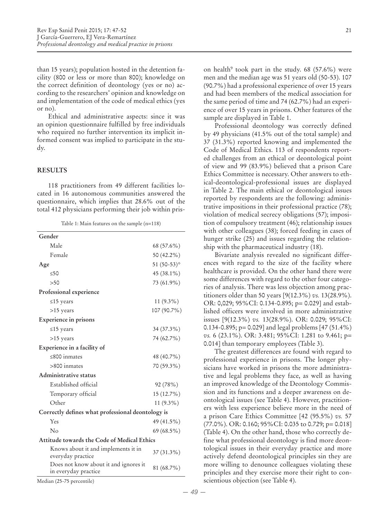than 15 years); population hosted in the detention facility (800 or less or more than 800); knowledge on the correct definition of deontology (yes or no) according to the researchers' opinion and knowledge on and implementation of the code of medical ethics (yes or no).

Ethical and administrative aspects: since it was an opinion questionnaire fulfilled by free individuals who required no further intervention its implicit informed consent was implied to participate in the study.

#### **RESULTS**

118 practitioners from 49 different facilities located in 16 autonomous communities answered the questionnaire, which implies that 28.6% out of the total 412 physicians performing their job within pris-

Table 1: Main features on the sample (n=118)

| Gender                                                        |              |  |  |  |  |  |
|---------------------------------------------------------------|--------------|--|--|--|--|--|
| Male                                                          | 68 (57.6%)   |  |  |  |  |  |
| Female                                                        | 50 (42.2%)   |  |  |  |  |  |
| Age                                                           | 51 (50-53)*  |  |  |  |  |  |
| $\leq 50$                                                     | 45 (38.1%)   |  |  |  |  |  |
| >50                                                           | 73 (61.9%)   |  |  |  |  |  |
| Professional experience                                       |              |  |  |  |  |  |
| $\leq$ 15 years                                               | $11(9.3\%)$  |  |  |  |  |  |
| $>15$ years                                                   | 107 (90.7%)  |  |  |  |  |  |
| <b>Experience in prisons</b>                                  |              |  |  |  |  |  |
| $\leq$ 15 years                                               | 34 (37.3%)   |  |  |  |  |  |
| $>15$ years                                                   | 74 (62.7%)   |  |  |  |  |  |
| Experience in a facility of                                   |              |  |  |  |  |  |
| $\leq$ 800 inmates                                            | 48 (40.7%)   |  |  |  |  |  |
| $>800$ inmates                                                | 70 (59.3%)   |  |  |  |  |  |
| Administrative status                                         |              |  |  |  |  |  |
| Established official                                          | 92 (78%)     |  |  |  |  |  |
| Temporary official                                            | 15 (12.7%)   |  |  |  |  |  |
| Other                                                         | $11(9.3\%)$  |  |  |  |  |  |
| Correctly defines what professional deontology is             |              |  |  |  |  |  |
| Yes                                                           | 49 (41.5%)   |  |  |  |  |  |
| $\rm N_{0}$                                                   | $69(68.5\%)$ |  |  |  |  |  |
| Attitude towards the Code of Medical Ethics                   |              |  |  |  |  |  |
| Knows about it and implements it in<br>everyday practice      | 37 (31.3%)   |  |  |  |  |  |
| Does not know about it and ignores it<br>in everyday practice | 81 (68.7%)   |  |  |  |  |  |

Median (25-75 percentile)

on health<sup>9</sup> took part in the study.  $68$  (57.6%) were men and the median age was 51 years old (50-53). 107 (90.7%) had a professional experience of over 15 years and had been members of the medical association for the same period of time and 74 (62.7%) had an experience of over 15 years in prisons. Other features of the sample are displayed in Table 1.

Professional deontology was correctly defined by 49 physicians (41.5% out of the total sample) and 37 (31.3%) reported knowing and implemented the Code of Medical Ethics. 113 of respondents reported challenges from an ethical or deontological point of view and 99 (83.9%) believed that a prison Care Ethics Committee is necessary. Other answers to ethical-deontological-professional issues are displayed in Table 2. The main ethical or deontological issues reported by respondents are the following: administrative impositions in their professional practice (78); violation of medical secrecy obligations (57); imposition of compulsory treatment (46); relationship issues with other colleagues (38); forced feeding in cases of hunger strike (25) and issues regarding the relationship with the pharmaceutical industry (18).

Bivariate analysis revealed no significant differences with regard to the size of the facility where healthcare is provided. On the other hand there were some differences with regard to the other four categories of analysis. There was less objection among practitioners older than 50 years [9(12.3%) *vs.* 13(28.9%). OR: 0,029; 95%CI: 0.134-0.895; p= 0.029] and established officers were involved in more administrative issues [9(12.3%) *vs.* 13(28.9%). OR: 0.029; 95%CI: 0.134-0.895; p= 0.029] and legal problems [47 (51.4%) *vs.* 6 (23.1%). OR: 3.481; 95%CI: 1.281 to 9.461; p= 0.014] than temporary employees (Table 3).

The greatest differences are found with regard to professional experience in prisons. The longer physicians have worked in prisons the more administrative and legal problems they face, as well as having an improved knowledge of the Deontology Commission and its functions and a deeper awareness on deontological issues (see Table 4). However, practitioners with less experience believe more in the need of a prison Care Ethics Committee [42 (95.5%) *vs.* 57  $(77.0\%)$ . OR: 0.160; 95%CI: 0.035 to 0.729; p= 0.018] (Table 4). On the other hand, those who correctly define what professional deontology is find more deontological issues in their everyday practice and more actively defend deontological principles sin they are more willing to denounce colleagues violating these principles and they exercise more their right to conscientious objection (see Table 4).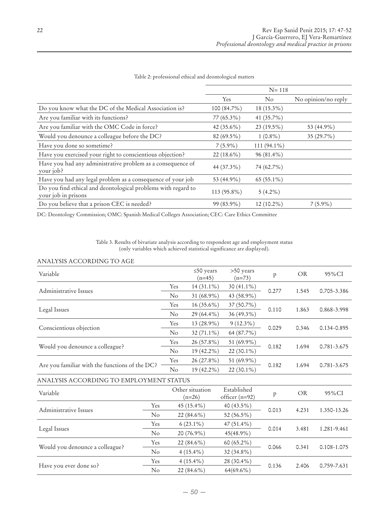|                                                                                      | $N = 118$     |              |                     |  |
|--------------------------------------------------------------------------------------|---------------|--------------|---------------------|--|
|                                                                                      | Yes           | $\rm No$     | No opinion/no reply |  |
| Do you know what the DC of the Medical Association is?                               | 100 (84.7%)   | 18 (15.3%)   |                     |  |
| Are you familiar with its functions?                                                 | 77 (65.3%)    | 41 (35.7%)   |                     |  |
| Are you familiar with the OMC Code in force?                                         | 42 $(35.6\%)$ | 23 (19.5%)   | 53 (44.9%)          |  |
| Would you denounce a colleague before the DC?                                        | 82 (69.5%)    | $1(0.8\%)$   | 35 (29.7%)          |  |
| Have you done so sometime?                                                           | $7(5.9\%)$    | 111 (94.1%)  |                     |  |
| Have you exercised your right to conscientious objection?                            | $22(18.6\%)$  | $96(81.4\%)$ |                     |  |
| Have you had any administrative problem as a consequence of<br>your job?             | 44 (37.3%)    | 74 (62.7%)   |                     |  |
| Have you had any legal problem as a consequence of your job                          | 53 (44.9%)    | $65(55.1\%)$ |                     |  |
| Do you find ethical and deontological problems with regard to<br>your job in prisons | 113 (95.8%)   | $5(4.2\%)$   |                     |  |
| Do you believe that a prison CEC is needed?                                          | 99 (83.9%)    | $12(10.2\%)$ | $7(5.9\%)$          |  |

Table 2: professional ethical and deontological matters

DC: Deontology Commission; OMC: Spanish Medical Colleges Association; CEC: Care Ethics Committee

Table 3. Results of bivariate analysis according to respondent age and employment status (only variables which achieved statistical significance are displayed).

| ANALYSIS ACCORDING TO AGE |  |
|---------------------------|--|
|                           |  |

| Variable                                       |                |                | $\leq 50$ years<br>$(n=45)$ | >50 years<br>$(n=73)$           | p              | <b>OR</b> | 95%CI           |
|------------------------------------------------|----------------|----------------|-----------------------------|---------------------------------|----------------|-----------|-----------------|
| Administrative Issues                          |                | Yes            | 14 (31.1%)                  | 30 (41.1%)                      | 0.277          | 1.545     | 0.705-3.386     |
|                                                |                | $\rm No$       | 31 (68.9%)                  | 43 (58.9%)                      |                |           |                 |
| Legal Issues                                   |                | Yes            | 16 (35.6%)                  | 37 (50.7%)                      | 0.110          | 1.863     | 0.868-3.998     |
|                                                |                | $\rm No$       | 29 (64.4%)                  | 36 (49.3%)                      |                |           |                 |
|                                                |                | Yes            | 13 (28.9%)                  | $9(12.3\%)$                     | 0.029          |           |                 |
| Conscientious objection                        |                | $\rm No$       | 32 (71.1%)                  | 64 (87.7%)                      |                | 0.346     | 0.134-0.895     |
|                                                |                | Yes            | 26 (57.8%)                  | 51 (69.9%)                      |                |           |                 |
| Would you denounce a colleague?                |                | N <sub>o</sub> | 19 (42.2%)                  | 22 (30.1%)                      | 0.182          | 1.694     | $0.781 - 3.675$ |
|                                                |                | Yes            | 26 (27.8%)                  | 51 (69.9%)                      |                |           |                 |
| Are you familiar with the functions of the DC? |                | $\rm No$       | 19 (42.2%)                  | 22 (30.1%)                      | 0.182          | 1.694     | $0.781 - 3.675$ |
| ANALYSIS ACCORDING TO EMPLOYMENT STATUS        |                |                |                             |                                 |                |           |                 |
| Variable                                       |                |                | Other situation<br>$(n=26)$ | Established<br>officer $(n=92)$ | p              | <b>OR</b> | 95%CI           |
|                                                | Yes            |                | $45(15.4\%)$                | 40 $(43.5\%)$                   |                | 4.231     | 1.350-13.26     |
| Administrative Issues                          | N <sub>o</sub> |                | 22 (84.6%)                  | 52 (56.5%)                      | 0.013          |           |                 |
| Legal Issues                                   | Yes            |                | $6(23.1\%)$                 | 47 (51.4%)                      |                |           |                 |
|                                                | $\rm No$       |                | 20 (76.9%)                  | 45(48.9%)                       | 0.014          | 3.481     | 1.281-9.461     |
| Would you denounce a colleague?                | Yes            | 22 (84.6%)     |                             | 60 (65.2%)                      |                |           |                 |
|                                                | $\rm No$       |                | $4(15.4\%)$                 | 32 (34.8%)                      | 0.066          | 0.341     | $0.108 - 1.075$ |
| Have you ever done so?                         | Yes            |                | $4(15.4\%)$                 | 28 (30.4%)                      |                |           |                 |
|                                                | N <sub>o</sub> |                | $22(84.6\%)$                | $64(69.6\%)$                    | 2.406<br>0.136 |           | 0.759-7.631     |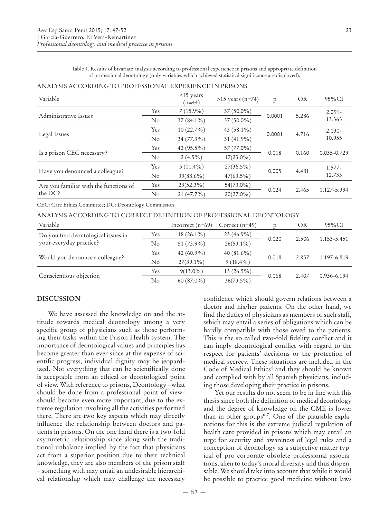Table 4. Results of bivariate analysis according to professional experience in prisons and appropriate definition of professional deontology (only variables which achieved statistical significance are displayed).

| Variable                                          |          | $\leq$ 15 years<br>$(n=44)$ | $>15$ years (n=74) | $\mathsf{p}$ | <b>OR</b> | 95%CI              |
|---------------------------------------------------|----------|-----------------------------|--------------------|--------------|-----------|--------------------|
| Administrative Issues                             | Yes      | $7(15.9\%)$                 | 37 (50.0%)         | 0.0001       |           | $2.091 -$          |
|                                                   | $\rm No$ | $37(84.1\%)$                | $37(50.0\%)$       |              | 5.286     | 13.363             |
| Legal Issues                                      | Yes      | 10(22.7%)                   | 43 (58.1%)         |              | 4.716     | $2.030 -$          |
|                                                   | No       | 34 (77.3%)                  | $31(41.9\%)$       | 0.0001       |           | 10.955             |
| Is a prison CEC necessary?                        | Yes      | 42 (95.5%)                  | 57 (77.0%)         |              | 0.160     | $0.035 - 0.729$    |
|                                                   | No       | $2(4.5\%)$                  | $17(23.0\%)$       | 0.018        |           |                    |
| Have you denounced a colleague?                   | Yes      | $5(11.4\%)$                 | $27(36.5\%)$       |              | 4.481     | $1.577-$<br>12.733 |
|                                                   | $\rm No$ | $39(88.6\%)$                | $47(63.5\%)$       | 0.005        |           |                    |
| Are you familiar with the functions of<br>the DC? | Yes      | $23(52.3\%)$                | 54(73.0%)          |              |           | 1.127-5.394        |
|                                                   | $\rm No$ | $21(47.7\%)$                | $20(27.0\%)$       | 0.024        | 2.465     |                    |
|                                                   |          |                             |                    |              |           |                    |

### ANALYSIS ACCORDING TO PROFESSIONAL EXPERIENCE IN PRISONS

CEC: Care Ethics Committee; DC: Deontology Commission

| ANALYSIS ACCORDING TO CORRECT DEFINITION OF PROFESSIONAL DEONTOLOGY |
|---------------------------------------------------------------------|
|---------------------------------------------------------------------|

| Variable                                                       |          | Incorrect $(n=69)$ | Correct $(n=49)$ | D     | OR    | 95%CI       |
|----------------------------------------------------------------|----------|--------------------|------------------|-------|-------|-------------|
| Do you find deontological issues in<br>your everyday practice? | Yes      | $18(26.1\%)$       | $23(46.9\%)$     |       |       | 1.153-5.451 |
|                                                                | No       | 51 (73.9%)         | $26(53.1\%)$     | 0.020 | 2.506 |             |
| Would you denounce a colleague?                                | Yes      | $42(60.9\%)$       | 40 (81.6%)       |       | 2.857 | 1.197-6.819 |
|                                                                | $\rm No$ | $27(39.1\%)$       | $9(18.4\%)$      | 0.018 |       |             |
| Conscientious objection                                        | Yes      | $9(13.0\%)$        | $13(26.5\%)$     |       |       | 0.936-6.194 |
|                                                                | No       | $60(87.0\%)$       | $36(73.5\%)$     | 0.068 | 2.407 |             |

#### **DISCUSSION**

We have assessed the knowledge on and the attitude towards medical deontology among a very specific group of physicians such as those performing their tasks within the Prison Health system. The importance of deontological values and principles has become greater than ever since at the expense of scientific progress, individual dignity may be jeopardized. Not everything that can be scientifically done is acceptable from an ethical or deontological point of view. With reference to prisons, Deontology –what should be done from a professional point of viewshould become even more important, due to the extreme regulation involving all the activities performed there. There are two key aspects which may directly influence the relationship between doctors and patients in prisons. On the one hand there is a two-fold asymmetric relationship since along with the traditional unbalance implied by the fact that physicians act from a superior position due to their technical knowledge, they are also members of the prison staff – something with may entail an undesirable hierarchical relationship which may challenge the necessary confidence which should govern relations between a doctor and his/her patients. On the other hand, we find the duties of physicians as members of such staff, which may entail a series of obligations which can be hardly compatible with those owed to the patients. This is the so called two-fold fidelity conflict and it can imply deontological conflict with regard to the respect for patients' decisions or the protection of medical secrecy. These situations are included in the Code of Medical Ethics<sup>4</sup> and they should be known and complied with by all Spanish physicians, including those developing their practice in prisons.

Yet our results do not seem to be in line with this thesis since both the definition of medical deontology and the degree of knowledge on the CME is lower than in other groups<sup>6-7</sup>. One of the plausible explanations for this is the extreme judicial regulation of health care provided in prisons which may entail an urge for security and awareness of legal rules and a conception of deontology as a subjective matter typical of pro-corporate obsolete professional associations, alien to today's moral diversity and thus dispensable. We should take into account that while it would be possible to practice good medicine without laws